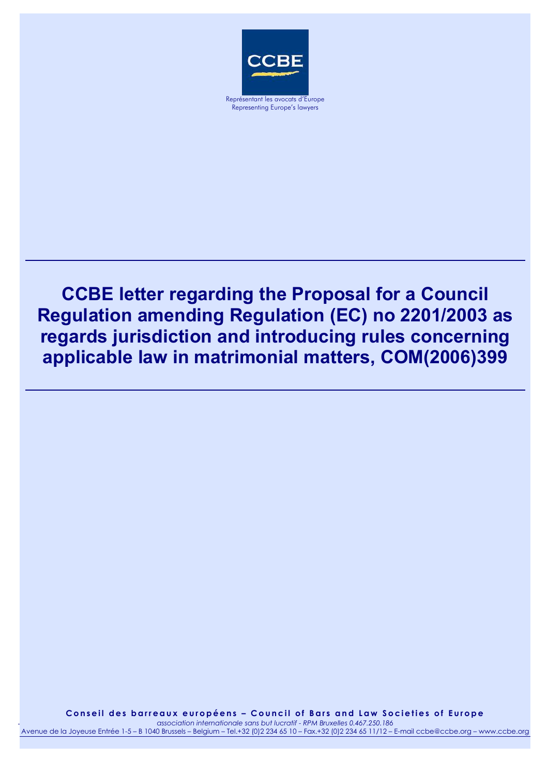

Representing Europe's lawyers

## **CCBE letter regarding the Proposal for a Council Regulation amending Regulation (EC) no 2201/2003 as regards jurisdiction and introducing rules concerning applicable law in matrimonial matters, COM(2006)399**

*association internationale sans but lucratif* **Conseil des barreaux européens – Council of Bars and Law Societies of Europe**  examples by the concept of the contract of the contract of the concept of the concept of the casociation internationale sans but lucratif - RPM Bruxelles 0.467.250.186

 $2.234.65.10 -$ 1 Avenue de la Joyeuse Entrée 1-5 – B 1040 Brussels – Belgium – Tel.+32 (0)2 234 65 10 – Fax.+32 (0)2 234 65 11/12 – E-mail ccbe@ccbe.org – www.ccbe.org